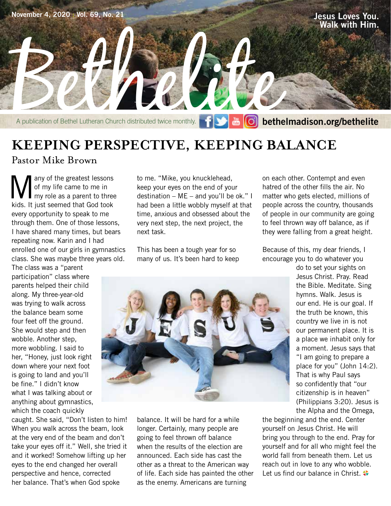

## **KEEPING PERSPECTIVE, KEEPING BALANCE**

#### Pastor Mike Brown

Many of the greatest lessons<br>of my life came to me in<br>tide. It just seemed that God took of my life came to me in my role as a parent to three kids. It just seemed that God took every opportunity to speak to me through them. One of those lessons, I have shared many times, but bears repeating now. Karin and I had enrolled one of our girls in gymnastics class. She was maybe three years old.

The class was a "parent participation" class where parents helped their child along. My three-year-old was trying to walk across the balance beam some four feet off the ground. She would step and then wobble. Another step, more wobbling. I said to her, "Honey, just look right down where your next foot is going to land and you'll be fine." I didn't know what I was talking about or anything about gymnastics, which the coach quickly

caught. She said, "Don't listen to him! When you walk across the beam, look at the very end of the beam and don't take your eyes off it." Well, she tried it and it worked! Somehow lifting up her eyes to the end changed her overall perspective and hence, corrected her balance. That's when God spoke

to me. "Mike, you knucklehead, keep your eyes on the end of your destination – ME – and you'll be ok." I had been a little wobbly myself at that time, anxious and obsessed about the very next step, the next project, the next task.

This has been a tough year for so many of us. It's been hard to keep



balance. It will be hard for a while longer. Certainly, many people are going to feel thrown off balance when the results of the election are announced. Each side has cast the other as a threat to the American way of life. Each side has painted the other as the enemy. Americans are turning

on each other. Contempt and even hatred of the other fills the air. No matter who gets elected, millions of people across the country, thousands of people in our community are going to feel thrown way off balance, as if they were falling from a great height.

Because of this, my dear friends, I encourage you to do whatever you

> do to set your sights on Jesus Christ. Pray. Read the Bible. Meditate. Sing hymns. Walk. Jesus is our end. He is our goal. If the truth be known, this country we live in is not our permanent place. It is a place we inhabit only for a moment. Jesus says that "I am going to prepare a place for you" (John 14:2). That is why Paul says so confidently that "our citizenship is in heaven" (Philippians 3:20). Jesus is the Alpha and the Omega,

the beginning and the end. Center yourself on Jesus Christ. He will bring you through to the end. Pray for yourself and for all who might feel the world fall from beneath them. Let us reach out in love to any who wobble. Let us find our balance in Christ.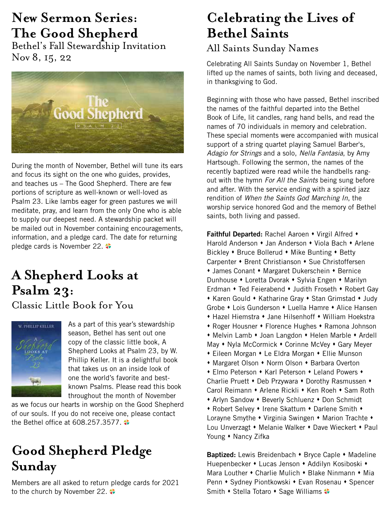## **New Sermon Series: The Good Shepherd**

Bethel's Fall Stewardship Invitation Nov 8, 15, 22



During the month of November, Bethel will tune its ears and focus its sight on the one who guides, provides, and teaches us – The Good Shepherd. There are few portions of scripture as well-known or well-loved as Psalm 23. Like lambs eager for green pastures we will meditate, pray, and learn from the only One who is able to supply our deepest need. A stewardship packet will be mailed out in November containing encouragements, information, and a pledge card. The date for returning pledge cards is November 22.

## **A Shepherd Looks at Psalm 23:**

Classic Little Book for You



As a part of this year's stewardship season, Bethel has sent out one copy of the classic little book, A Shepherd Looks at Psalm 23, by W. Phillip Keller. It is a delightful book that takes us on an inside look of one the world's favorite and bestknown Psalms. Please read this book throughout the month of November

as we focus our hearts in worship on the Good Shepherd of our souls. If you do not receive one, please contact the Bethel office at  $608.257.3577$ .

## **Good Shepherd Pledge Sunday**

Members are all asked to return pledge cards for 2021 to the church by November 22.  $\leftrightarrow$ 

## **Celebrating the Lives of Bethel Saints**

## All Saints Sunday Names

Celebrating All Saints Sunday on November 1, Bethel lifted up the names of saints, both living and deceased, in thanksgiving to God.

Beginning with those who have passed, Bethel inscribed the names of the faithful departed into the Bethel Book of Life, lit candles, rang hand bells, and read the names of 70 individuals in memory and celebration. These special moments were accompanied with musical support of a string quartet playing Samuel Barber's, *Adagio for Strings* and a solo, *Nella Fantasia*, by Amy Hartsough. Following the sermon, the names of the recently baptized were read while the handbells rangout with the hymn *For All the Saints* being sung before and after. With the service ending with a spirited jazz rendition of *When the Saints God Marching In*, the worship service honored God and the memory of Bethel saints, both living and passed.

**Faithful Departed:** Rachel Aaroen • Virgil Alfred • Harold Anderson • Jan Anderson • Viola Bach • Arlene Bickley • Bruce Bollerud • Mike Bunting • Betty Carpenter • Brent Christianson • Sue Christoffersen • James Conant • Margaret Dukerschein • Bernice Dunhouse • Loretta Dvorak • Sylvia Engen • Marilyn Erdman • Ted Feierabend • Judith Froseth • Robert Gay • Karen Gould • Katharine Gray • Stan Grimstad • Judy Grobe • Lois Gunderson • Luella Hamre • Alice Hansen • Hazel Hiemstra • Jane Hilsenhoff • William Hoekstra • Roger Housner • Florence Hughes • Ramona Johnson • Melvin Lamb • Joan Langdon • Helen Marble • Ardell May • Nyla McCormick • Corinne McVey • Gary Meyer • Eileen Morgan • Le Eldra Morgan • Ellie Munson • Margaret Olson • Norm Olson • Barbara Overton • Elmo Peterson • Karl Peterson • Leland Powers • Charlie Pruett • Deb Przywara • Dorothy Rasmussen • Carol Reimann • Arlene Rickli • Ken Roeh • Sam Roth • Arlyn Sandow • Beverly Schluenz • Don Schmidt • Robert Selvey • Irene Skattum • Darlene Smith • Lorayne Smythe • Virginia Swingen • Marion Trachte • Lou Unverzagt • Melanie Walker • Dave Wieckert • Paul Young • Nancy Zifka

Baptized: Lewis Breidenbach • Bryce Caple • Madeline Huepenbecker • Lucas Jenson • Addilyn Kosiboski • Mara Louther  $\bullet$  Charlie Mulich  $\bullet$  Blake Ninmann  $\bullet$  Mia Penn • Sydney Piontkowski • Evan Rosenau • Spencer Smith • Stella Totaro • Sage Williams  $\bullet$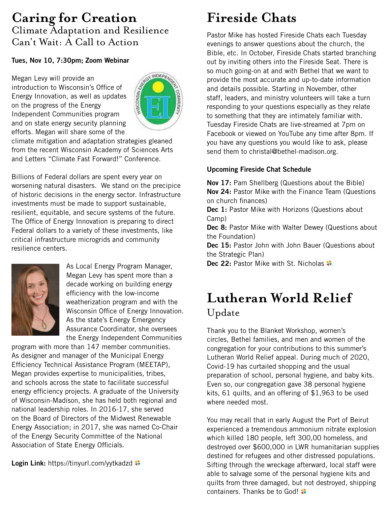## **Caring for Creation** Climate Adaptation and Resilience Can't Wait: A Call to Action

**Tues, Nov 10, 7:30pm; Zoom Webinar**<br>
Megan Levy will provide an<br>
introduction to Wisconsin's Office of<br>
Energy Innovation, as well are<br>
on the progress of Megan Levy will provide an introduction to Wisconsin's Office of Energy Innovation, as well as updates on the progress of the Energy Independent Communities program and on state energy security planning efforts. Megan will share some of the



climate mitigation and adaptation strategies gleaned from the recent Wisconsin Academy of Sciences Arts and Letters "Climate Fast Forward!" Conference.

Billions of Federal dollars are spent every year on worsening natural disasters. We stand on the precipice of historic decisions in the energy sector. Infrastructure investments must be made to support sustainable, resilient, equitable, and secure systems of the future. The Office of Energy Innovation is preparing to direct Federal dollars to a variety of these investments, like critical infrastructure microgrids and community resilience centers.



As Local Energy Program Manager, Megan Levy has spent more than a decade working on building energy efficiency with the low-income weatherization program and with the Wisconsin Office of Energy Innovation. As the state's Energy Emergency Assurance Coordinator, she oversees the Energy Independent Communities

program with more than 147 member communities. As designer and manager of the Municipal Energy Efficiency Technical Assistance Program (MEETAP), Megan provides expertise to municipalities, tribes, and schools across the state to facilitate successful energy efficiency projects. A graduate of the University of Wisconsin-Madison, she has held both regional and national leadership roles. In 2016-17, she served on the Board of Directors of the Midwest Renewable Energy Association; in 2017, she was named Co-Chair of the Energy Security Committee of the National Association of State Energy Officials.

**Login Link:** https://tinyurl.com/yytkadzd  $\bullet$ 

## **Fireside Chats**

Pastor Mike has hosted Fireside Chats each Tuesday evenings to answer questions about the church, the Bible, etc. In October, Fireside Chats started branching out by inviting others into the Fireside Seat. There is so much going-on at and with Bethel that we want to provide the most accurate and up-to-date information and details possible. Starting in November, other staff, leaders, and ministry volunteers will take a turn responding to your questions especially as they relate to something that they are intimately familiar with. Tuesday Fireside Chats are live-streamed at 7pm on Facebook or viewed on YouTube any time after 8pm. If you have any questions you would like to ask, please send them to christal@bethel-madison.org.

#### **Upcoming Fireside Chat Schedule**

**Nov 17:** Pam Shellberg (Questions about the Bible) **Nov 24:** Pastor Mike with the Finance Team (Questions on church finances)

**Dec 1:** Pastor Mike with Horizons (Questions about Camp)

**Dec 8: Pastor Mike with Walter Dewey (Questions about** the Foundation)

**Dec 15:** Pastor John with John Bauer (Questions about the Strategic Plan)

**Dec 22: Pastor Mike with St. Nicholas**  $\bullet$ 

## **Lutheran World Relief** Update

Thank you to the Blanket Workshop, women's circles, Bethel families, and men and women of the congregation for your contributions to this summer's Lutheran World Relief appeal. During much of 2020, Covid-19 has curtailed shopping and the usual preparation of school, personal hygiene, and baby kits. Even so, our congregation gave 38 personal hygiene kits, 61 quilts, and an offering of \$1,963 to be used where needed most.

You may recall that in early August the Port of Beirut experienced a tremendous ammonium nitrate explosion which killed 180 people, left 300,00 homeless, and destroyed over \$600,000 in LWR humanitarian supplies destined for refugees and other distressed populations. Sifting through the wreckage afterward, local staff were able to salvage some of the personal hygiene kits and quilts from three damaged, but not destroyed, shipping containers. Thanks be to God!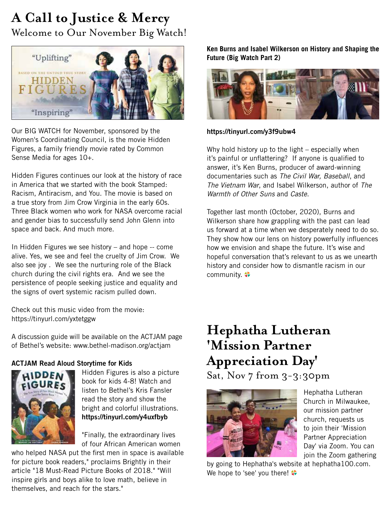## **A Call to Justice & Mercy** Welcome to Our November Big Watch!



Our BIG WATCH for November, sponsored by the Women's Coordinating Council, is the movie Hidden Figures, a family friendly movie rated by Common Sense Media for ages 10+.

Hidden Figures continues our look at the history of race in America that we started with the book Stamped: Racism, Antiracism, and You. The movie is based on a true story from Jim Crow Virginia in the early 60s. Three Black women who work for NASA overcome racial and gender bias to successfully send John Glenn into space and back. And much more.

In Hidden Figures we see history – and hope -- come alive. Yes, we see and feel the cruelty of Jim Crow. We also see joy . We see the nurturing role of the Black church during the civil rights era. And we see the persistence of people seeking justice and equality and the signs of overt systemic racism pulled down.

Check out this music video from the movie: https://tinyurl.com/yxtetggw

A discussion guide will be available on the ACTJAM page of Bethel's website: www.bethel-madison.org/actjam

#### **ACTJAM Read Aloud Storytime for Kids**



Hidden Figures is also a picture book for kids 4-8! Watch and listen to Bethel's Kris Fansler read the story and show the bright and colorful illustrations. **https://tinyurl.com/y4uxfbyb**

"Finally, the extraordinary lives of four African American women

who helped NASA put the first men in space is available for picture book readers," proclaims Brightly in their article "18 Must-Read Picture Books of 2018." "Will inspire girls and boys alike to love math, believe in themselves, and reach for the stars."

**Ken Burns and Isabel Wilkerson on History and Shaping the Future (Big Watch Part 2)**



#### **https://tinyurl.com/y3f9ubw4**

Why hold history up to the light – especially when it's painful or unflattering? If anyone is qualified to answer, it's Ken Burns, producer of award-winning documentaries such as *The Civil War, Baseball*, and *The Vietnam War*, and Isabel Wilkerson, author of *The Warmth of Other Suns* and *Caste*.

Together last month (October, 2020), Burns and Wilkerson share how grappling with the past can lead us forward at a time when we desperately need to do so. They show how our lens on history powerfully influences how we envision and shape the future. It's wise and hopeful conversation that's relevant to us as we unearth history and consider how to dismantle racism in our community.

## **Hephatha Lutheran 'Mission Partner Appreciation Day'**

Sat, Nov  $7$  from  $3-3:30$ pm



Hephatha Lutheran Church in Milwaukee, our mission partner church, requests us to join their 'Mission Partner Appreciation Day' via Zoom. You can join the Zoom gathering

by going to Hephatha's website at hephatha100.com. We hope to 'see' you there!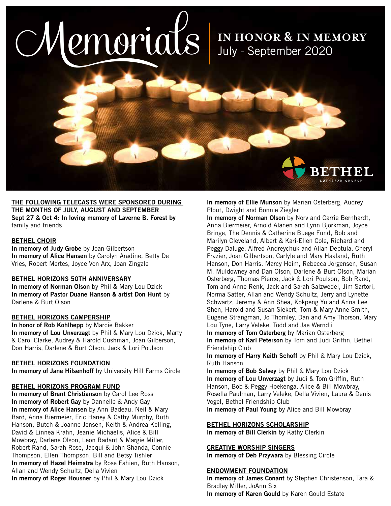# $OMenius$  IN HONOR & IN MEMORY

July - September 2020

## **THE FOLLOWING TELECASTS WERE SPONSORED DURING THE MONTHS OF JULY, AUGUST AND SEPTEMBER**

**Sept 27 & Oct 4: In loving memory of Laverne B. Forest by**  family and friends

#### **BETHEL CHOIR**

**In memory of Judy Grobe** by Joan Gilbertson **In memory of Alice Hansen** by Carolyn Aradine, Betty De Vries, Robert Mertes, Joyce Von Arx, Joan Zingale

#### **BETHEL HORIZONS 50TH ANNIVERSARY**

**In memory of Norman Olson** by Phil & Mary Lou Dzick **In memory of Pastor Duane Hanson & artist Don Hunt** by Darlene & Burt Olson

#### **BETHEL HORIZONS CAMPERSHIP**

**In honor of Rob Kohlhepp** by Marcie Bakker **In memory of Lou Unverzagt** by Phil & Mary Lou Dzick, Marty & Carol Clarke, Audrey & Harold Cushman, Joan Gilberson, Don Harris, Darlene & Burt Olson, Jack & Lori Poulson

#### **BETHEL HORIZONS FOUNDATION**

**In memory of Jane Hilsenhoff** by University Hill Farms Circle

#### **BETHEL HORIZONS PROGRAM FUND**

**In memory of Brent Christianson** by Carol Lee Ross **In memory of Robert Gay** by Dannelle & Andy Gay **In memory of Alice Hansen** by Ann Badeau, Neil & Mary Bard, Anna Biermeier, Eric Haney & Cathy Murphy, Ruth Hanson, Butch & Joanne Jensen, Keith & Andrea Kelling, David & Linnea Krahn, Jeanie Michaelis, Alice & Bill Mowbray, Darlene Olson, Leon Radant & Margie Miller, Robert Rand, Sarah Rose, Jacqui & John Shanda, Connie Thompson, Ellen Thompson, Bill and Betsy Tishler **In memory of Hazel Heimstra** by Rose Fahien, Ruth Hanson, Allan and Wendy Schultz, Della Vivien **In memory of Roger Housner** by Phil & Mary Lou Dzick

**In memory of Ellie Munson** by Marian Osterberg, Audrey Plout, Dwight and Bonnie Ziegler

**In memory of Norman Olson** by Norv and Carrie Bernhardt, Anna Biermeier, Arnold Alanen and Lynn Bjorkman, Joyce Bringe, The Dennis & Catherine Buege Fund, Bob and Marilyn Cleveland, Albert & Kari-Ellen Cole, Richard and Peggy Daluge, Alfred Andreychuk and Allan Deptula, Cheryl Frazier, Joan Gilbertson, Carlyle and Mary Haaland, Ruth Hanson, Don Harris, Marcy Heim, Rebecca Jorgensen, Susan M. Muldowney and Dan Olson, Darlene & Burt Olson, Marian Osterberg, Thomas Pierce, Jack & Lori Poulson, Bob Rand, Tom and Anne Renk, Jack and Sarah Salzwedel, Jim Sartori, Norma Satter, Allan and Wendy Schultz, Jerry and Lynette Schwartz, Jeremy & Ann Shea, Kokpeng Yu and Anna Lee Shen, Harold and Susan Siekert, Tom & Mary Anne Smith, Eugene Strangman, Jo Thomley, Dan and Amy Thorson, Mary Lou Tyne, Larry Veleke, Todd and Jae Werndli

**In memory of Tom Osterberg** by Marian Osterberg **In memory of Karl Peterson** by Tom and Judi Griffin, Bethel Friendship Club

**In memory of Harry Keith Schoff** by Phil & Mary Lou Dzick, Ruth Hanson

**In memory of Bob Selvey** by Phil & Mary Lou Dzick **In memory of Lou Unverzagt** by Judi & Tom Griffin, Ruth Hanson, Bob & Peggy Hoekenga, Alice & Bill Mowbray, Rosella Paulman, Larry Veleke, Della Vivien, Laura & Denis Vogel, Bethel Friendship Club

**In memory of Paul Young** by Alice and Bill Mowbray

#### **BETHEL HORIZONS SCHOLARSHIP**

**In memory of Bill Clerkin** by Kathy Clerkin

#### **CREATIVE WORSHIP SINGERS**

**In memory of Deb Przywara** by Blessing Circle

#### **ENDOWMENT FOUNDATION**

**In memory of James Conant** by Stephen Christenson, Tara & Bradley Miller, JoAnn Six **In memory of Karen Gould** by Karen Gould Estate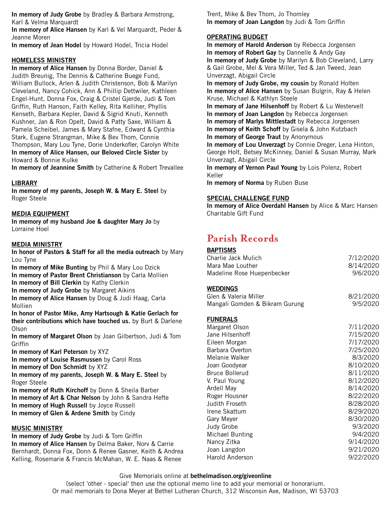**In memory of Judy Grobe** by Bradley & Barbara Armstrong, Karl & Velma Marquardt

**In memory of Alice Hansen** by Karl & Vel Marquardt, Peder & Jeanne Moren

**In memory of Jean Hodel** by Howard Hodel, Tricia Hodel

#### **HOMELESS MINISTRY**

**In memory of Alice Hansen** by Donna Border, Daniel & Judith Breunig, The Dennis & Catherine Buege Fund, William Bullock, Arlen & Judith Christenson, Bob & Marilyn Cleveland, Nancy Cohick, Ann & Phillip Dettwiler, Kathleen Engel-Hunt, Donna Fox, Craig & Cristel Gjerde, Judi & Tom Griffin, Ruth Hanson, Faith Kelley, Rita Kelliher, Phyllis Kenseth, Barbara Kepler, David & Sigrid Knuti, Kenneth Kushner, Jan & Ron Opelt, David & Patty Saxe, William & Pamela Scheibel, James & Mary Stafne, Edward & Cynthia Stark, Eugene Strangman, Mike & Bev Thom, Connie Thompson, Mary Lou Tyne, Dorie Underkofler, Carolyn White **In memory of Alice Hansen, our Beloved Circle Sister** by Howard & Bonnie Kulke

**In memory of Jeannine Smith** by Catherine & Robert Trevallee

#### **LIBRARY**

**In memory of my parents, Joseph W. & Mary E. Steel** by Roger Steele

#### **MEDIA EQUIPMENT**

**In memory of my husband Joe & daughter Mary Jo** by Lorraine Hoel

#### **MEDIA MINISTRY**

**In honor of Pastors & Staff for all the media outreach** by Mary Lou Tyne

**In memory of Mike Bunting** by Phil & Mary Lou Dzick **In memory of Pastor Brent Christianson** by Carla Mollien

**In memory of Bill Clerkin** by Kathy Clerkin

**In memory of Judy Grobe** by Margaret Aikins

**In memory of Alice Hansen** by Doug & Judi Haag, Carla Mollien

**In honor of Pastor Mike, Amy Hartsough & Katie Gerlach for their contributions which have touched us.** by Burt & Darlene Olson

**In memory of Margaret Olson** by Joan Gilbertson, Judi & Tom **Griffin** 

**In memory of Karl Peterson** by XYZ

**In memory of Louise Rasmussen** by Carol Ross

**In memory of Don Schmidt** by XYZ

**In memory of my parents, Joseph W. & Mary E. Steel** by Roger Steele

**In memory of Ruth Kirchoff** by Donn & Sheila Barber

**In memory of Art & Char Nelson** by John & Sandra Hefte

- **In memory of Hugh Russell** by Joyce Russell
- **In memory of Glen & Ardene Smith** by Cindy

#### **MUSIC MINISTRY**

**In memory of Judy Grobe** by Judi & Tom Griffin **In memory of Alice Hansen** by Delma Baker, Norv & Carrie Bernhardt, Donna Fox, Donn & Renee Gasner, Keith & Andrea Kelling, Rosemarie & Francis McMahan, W. E. Naas & Renee

Trent, Mike & Bev Thom, Jo Thomley **In memory of Joan Langdon** by Judi & Tom Griffin

#### **OPERATING BUDGET**

**In memory of Harold Anderson** by Rebecca Jorgensen **In memory of Robert Gay** by Dannelle & Andy Gay **In memory of Judy Grobe** by Marilyn & Bob Cleveland, Larry & Gail Grobe, Mel & Vera Miller, Ted & Jan Tweed, Jean Unverzagt, Abigail Circle **In memory of Judy Grobe, my cousin** by Ronald Holten **In memory of Alice Hansen** by Susan Bulgrin, Ray & Helen Kruse, Michael & Kathlyn Steele **In memory of Jane Hilsenhoff** by Robert & Lu Westervelt **In memory of Joan Langdon** by Rebecca Jorgensen **In memory of Marlys Mittlestadt** by Rebecca Jorgensen **In memory of Keith Schoff** by Gisela & John Kutzbach **In memory of George Traut** by Anonymous **In memory of Lou Unverzagt** by Connie Dreger, Lena Hinton, George Holt, Betsey McKinney, Daniel & Susan Murray, Mark Unverzagt, Abigail Circle **In memory of Vernon Paul Young** by Lois Polenz, Robert Keller **In memory of Norma** by Ruben Buse

#### **SPECIAL CHALLENGE FUND**

**In memory of Alice Overdahl Hansen** by Alice & Marc Hansen Charitable Gift Fund

## **Parish Records**

| <b>BAPTISMS</b>                |           |
|--------------------------------|-----------|
| <b>Charlie Jack Mulich</b>     | 7/12/2020 |
| Mara Mae Louther               | 8/14/2020 |
| Madeline Rose Huepenbecker     | 9/6/2020  |
| <b>WEDDINGS</b>                |           |
| Glen & Valeria Miller          | 8/21/2020 |
| Mangali Gomden & Bikram Gurung | 9/5/2020  |
| <b>FUNERALS</b>                |           |
| Margaret Olson                 | 7/11/2020 |
| Jane Hilsenhoff                | 7/15/2020 |
| Eileen Morgan                  | 7/17/2020 |
| Barbara Overton                | 7/25/2020 |
| Melanie Walker                 | 8/3/2020  |
| Joan Goodyear                  | 8/10/2020 |
| <b>Bruce Bollerud</b>          | 8/11/2020 |
| V. Paul Young                  | 8/12/2020 |
| Ardell May                     | 8/14/2020 |
| Roger Housner                  | 8/22/2020 |
| Judith Froseth                 | 8/28/2020 |
| Irene Skattum                  | 8/29/2020 |
| <b>Gary Meyer</b>              | 8/30/2020 |
| Judy Grobe                     | 9/3/2020  |
| Michael Bunting                | 9/4/2020  |
| Nancy Zitka                    | 9/14/2020 |
| Joan Langdon                   | 9/21/2020 |
| Harold Anderson                | 9/22/2020 |

#### Give Memorials online at **bethelmadison.org/giveonline**

(select 'other - special' then use the optional memo line to add your memorial or honorarium. Or mail memorials to Dona Meyer at Bethel Lutheran Church, 312 Wisconsin Ave, Madison, WI 53703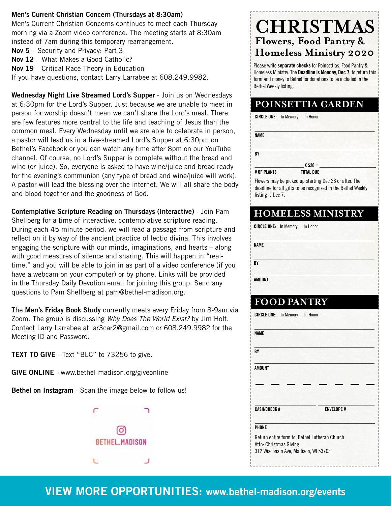#### **Men's Current Christian Concern (Thursdays at 8:30am)**

Men's Current Christian Concerns continues to meet each Thursday morning via a Zoom video conference. The meeting starts at 8:30am instead of 7am during this temporary rearrangement.

**Nov 5** – Security and Privacy: Part 3

**Nov 12** – What Makes a Good Catholic?

**Nov 19** – Critical Race Theory in Education

If you have questions, contact Larry Larrabee at 608.249.9982.

**Wednesday Night Live Streamed Lord's Supper** - Join us on Wednesdays at 6:30pm for the Lord's Supper. Just because we are unable to meet in person for worship doesn't mean we can't share the Lord's meal. There are few features more central to the life and teaching of Jesus than the common meal. Every Wednesday until we are able to celebrate in person, a pastor will lead us in a live-streamed Lord's Supper at 6:30pm on Bethel's Facebook or you can watch any time after 8pm on our YouTube channel. Of course, no Lord's Supper is complete without the bread and wine (or juice). So, everyone is asked to have wine/juice and bread ready for the evening's communion (any type of bread and wine/juice will work). A pastor will lead the blessing over the internet. We will all share the body and blood together and the goodness of God.

**Contemplative Scripture Reading on Thursdays (Interactive)** - Join Pam Shellberg for a time of interactive, contemplative scripture reading. During each 45-minute period, we will read a passage from scripture and reflect on it by way of the ancient practice of lectio divina. This involves engaging the scripture with our minds, imaginations, and hearts – along with good measures of silence and sharing. This will happen in "realtime," and you will be able to join in as part of a video conference (if you have a webcam on your computer) or by phone. Links will be provided in the Thursday Daily Devotion email for joining this group. Send any questions to Pam Shellberg at pam@bethel-madison.org.

The **Men's Friday Book Study** currently meets every Friday from 8-9am via Zoom. The group is discussing *Why Does The World Exist?* by Jim Holt. Contact Larry Larrabee at lar3car2@gmail.com or 608.249.9982 for the Meeting ID and Password.

**TEXT TO GIVE** - Text "BLC" to 73256 to give.

**GIVE ONLINE** - www.bethel-madison.org/giveonline

**Bethel on Instagram** - Scan the image below to follow us!



## **CHRISTMAS Flowers, Food Pantry & Homeless Ministry 2020**

Please write **separate checks** for Poinsettias, Food Pantry & Homeless Ministry. The **Deadline is Monday, Dec 7**, to return this form and money to Bethel for donations to be included in the Bethel Weekly listing.

### **POINSETTIA GARDEN**

| <b>CIRCLE ONE:</b> In Memory | In Honor         |  |
|------------------------------|------------------|--|
| <b>NAME</b>                  |                  |  |
| BY                           |                  |  |
|                              | $X $20 =$        |  |
| # OF PLANTS                  | <b>TOTAL DUE</b> |  |

Flowers may be picked up starting Dec 28 or after. The deadline for all gifts to be recognized in the Bethel Weekly listing is Dec 7.

#### **HOMELESS MINISTRY**

| <b>CIRCLE ONE:</b> In Memory | In Honor |  |
|------------------------------|----------|--|
| <b>NAME</b>                  |          |  |
| BY                           |          |  |
| <b>AMOUNT</b>                |          |  |

## **FOOD PANTRY**

|                        | <b>CIRCLE ONE:</b> In Memory | In Honor                                      |  |
|------------------------|------------------------------|-----------------------------------------------|--|
| <b>NAME</b>            |                              |                                               |  |
| BY                     |                              |                                               |  |
| AMOUNT                 |                              |                                               |  |
|                        |                              |                                               |  |
|                        |                              |                                               |  |
|                        |                              |                                               |  |
| <b>CASH/CHECK#</b>     |                              | <b>ENVELOPE #</b>                             |  |
| PHONE                  |                              |                                               |  |
| Attn: Christmas Giving |                              | Return entire form to: Bethel Lutheran Church |  |
|                        |                              | 312 Wisconsin Ave, Madison, WI 53703          |  |

## **VIEW MORE OPPORTUNITIES: www.bethel-madison.org/events**